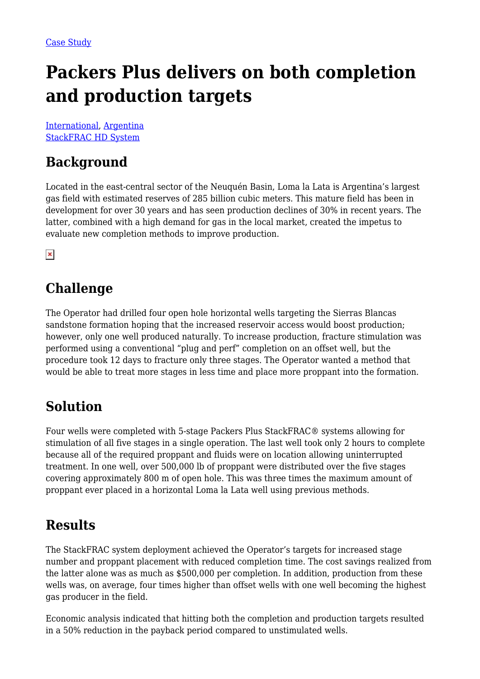# **Packers Plus delivers on both completion and production targets**

[International](https://packersplus.com/proven-performance/?region=international#listing), [Argentina](https://packersplus.com/proven-performance/?formation=argentina#listing) [StackFRAC HD System](https://packersplus.com/proven-performance/?system=stackfrac-hd-system#listing)

## **Background**

Located in the east-central sector of the Neuquén Basin, Loma la Lata is Argentina's largest gas field with estimated reserves of 285 billion cubic meters. This mature field has been in development for over 30 years and has seen production declines of 30% in recent years. The latter, combined with a high demand for gas in the local market, created the impetus to evaluate new completion methods to improve production.

 $\pmb{\times}$ 

### **Challenge**

The Operator had drilled four open hole horizontal wells targeting the Sierras Blancas sandstone formation hoping that the increased reservoir access would boost production; however, only one well produced naturally. To increase production, fracture stimulation was performed using a conventional "plug and perf" completion on an offset well, but the procedure took 12 days to fracture only three stages. The Operator wanted a method that would be able to treat more stages in less time and place more proppant into the formation.

### **Solution**

Four wells were completed with 5-stage Packers Plus StackFRAC® systems allowing for stimulation of all five stages in a single operation. The last well took only 2 hours to complete because all of the required proppant and fluids were on location allowing uninterrupted treatment. In one well, over 500,000 lb of proppant were distributed over the five stages covering approximately 800 m of open hole. This was three times the maximum amount of proppant ever placed in a horizontal Loma la Lata well using previous methods.

#### **Results**

The StackFRAC system deployment achieved the Operator's targets for increased stage number and proppant placement with reduced completion time. The cost savings realized from the latter alone was as much as \$500,000 per completion. In addition, production from these wells was, on average, four times higher than offset wells with one well becoming the highest gas producer in the field.

Economic analysis indicated that hitting both the completion and production targets resulted in a 50% reduction in the payback period compared to unstimulated wells.